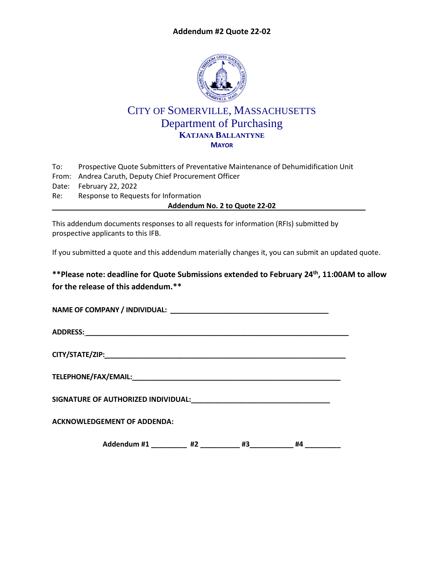## **Addendum #2 Quote 22-02**



## CITY OF SOMERVILLE, MASSACHUSETTS Department of Purchasing **KATJANA BALLANTYNE MAYOR**

| To: | Prospective Quote Submitters of Preventative Maintenance of Dehumidification Unit |  |  |
|-----|-----------------------------------------------------------------------------------|--|--|
|     | From: Andrea Caruth, Deputy Chief Procurement Officer                             |  |  |
|     | Date: February 22, 2022                                                           |  |  |
| Re: | Response to Requests for Information                                              |  |  |
|     | Addendum No. 2 to Quote 22-02                                                     |  |  |

This addendum documents responses to all requests for information (RFIs) submitted by prospective applicants to this IFB.

If you submitted a quote and this addendum materially changes it, you can submit an updated quote.

**\*\*Please note: deadline for Quote Submissions extended to February 24th , 11:00AM to allow for the release of this addendum.\*\***

| <b>ACKNOWLEDGEMENT OF ADDENDA:</b> |  |  |  |  |  |
|------------------------------------|--|--|--|--|--|
| #4                                 |  |  |  |  |  |